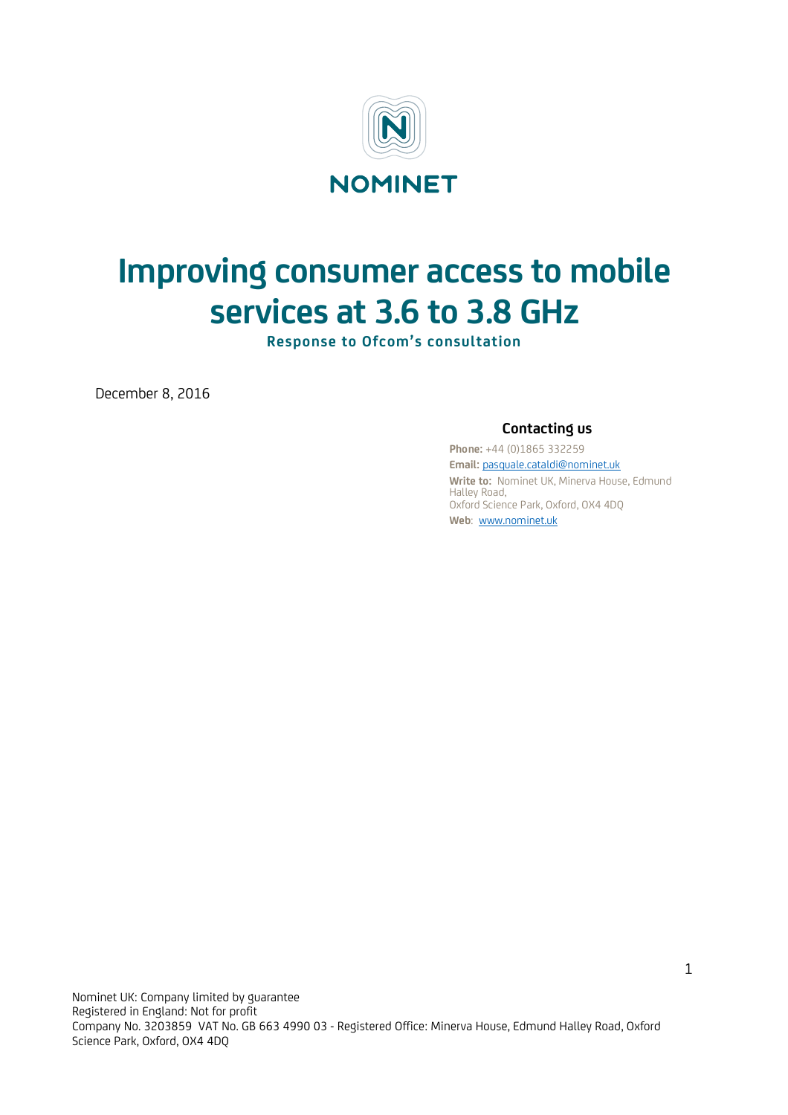

# **Improving consumer access to mobile services at 3.6 to 3.8 GHz**

**Response to Ofcom's consultation**

December 8, 2016

## **Contacting us**

**Phone:** +44 (0)1865 332259 **Email:** pasquale.cataldi@nominet.uk **Write to:** Nominet UK, Minerva House, Edmund Halley Road, Oxford Science Park, Oxford, OX4 4DQ **Web**: www.nominet.uk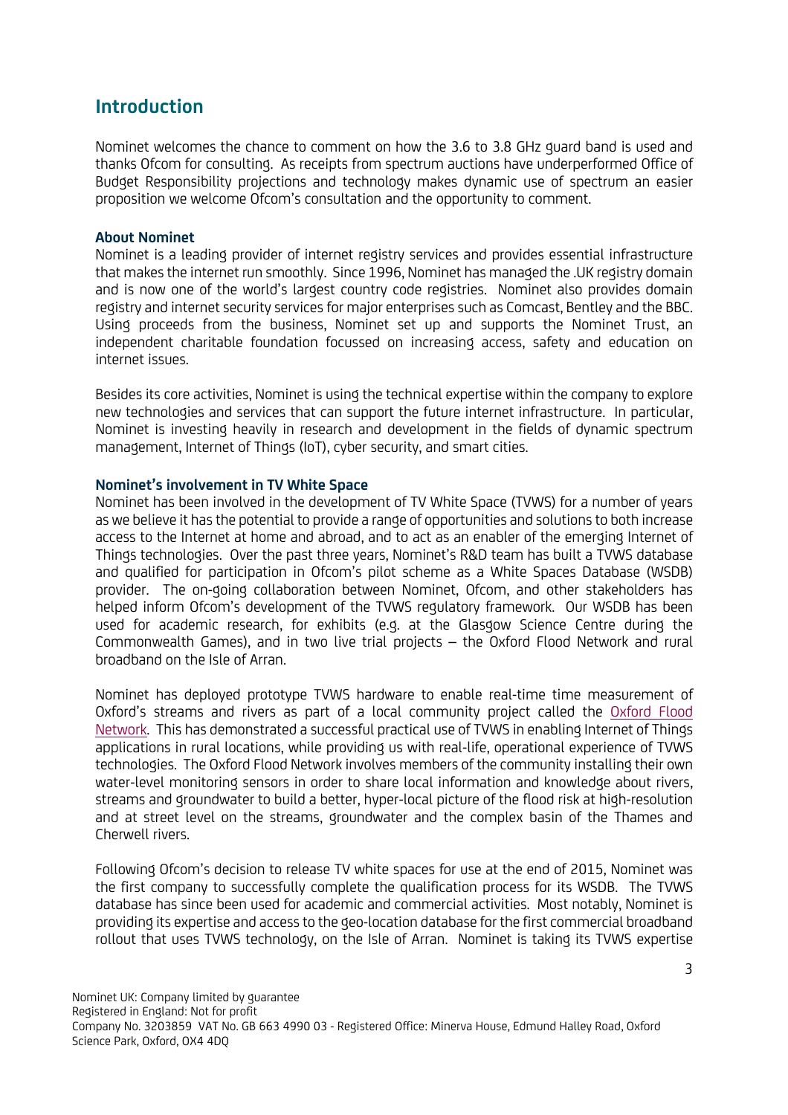## **Introduction**

Nominet welcomes the chance to comment on how the 3.6 to 3.8 GHz guard band is used and thanks Ofcom for consulting. As receipts from spectrum auctions have underperformed Office of Budget Responsibility projections and technology makes dynamic use of spectrum an easier proposition we welcome Ofcom's consultation and the opportunity to comment.

## **About Nominet**

Nominet is a leading provider of internet registry services and provides essential infrastructure that makes the internet run smoothly. Since 1996, Nominet has managed the .UK registry domain and is now one of the world's largest country code registries. Nominet also provides domain registry and internet security services for major enterprises such as Comcast, Bentley and the BBC. Using proceeds from the business, Nominet set up and supports the Nominet Trust, an independent charitable foundation focussed on increasing access, safety and education on internet issues.

Besides its core activities, Nominet is using the technical expertise within the company to explore new technologies and services that can support the future internet infrastructure. In particular, Nominet is investing heavily in research and development in the fields of dynamic spectrum management, Internet of Things (IoT), cyber security, and smart cities.

## **Nominet's involvement in TV White Space**

Nominet has been involved in the development of TV White Space (TVWS) for a number of years as we believe it has the potential to provide a range of opportunities and solutions to both increase access to the Internet at home and abroad, and to act as an enabler of the emerging Internet of Things technologies. Over the past three years, Nominet's R&D team has built a TVWS database and qualified for participation in Ofcom's pilot scheme as a White Spaces Database (WSDB) provider. The on-going collaboration between Nominet, Ofcom, and other stakeholders has helped inform Ofcom's development of the TVWS regulatory framework. Our WSDB has been used for academic research, for exhibits (e.g. at the Glasgow Science Centre during the Commonwealth Games), and in two live trial projects – the Oxford Flood Network and rural broadband on the Isle of Arran.

Nominet has deployed prototype TVWS hardware to enable real-time time measurement of Oxford's streams and rivers as part of a local community project called the Oxford Flood Network. This has demonstrated a successful practical use of TVWS in enabling Internet of Things applications in rural locations, while providing us with real-life, operational experience of TVWS technologies. The Oxford Flood Network involves members of the community installing their own water-level monitoring sensors in order to share local information and knowledge about rivers, streams and groundwater to build a better, hyper-local picture of the flood risk at high-resolution and at street level on the streams, groundwater and the complex basin of the Thames and Cherwell rivers.

Following Ofcom's decision to release TV white spaces for use at the end of 2015, Nominet was the first company to successfully complete the qualification process for its WSDB. The TVWS database has since been used for academic and commercial activities. Most notably, Nominet is providing its expertise and access to the geo-location database for the first commercial broadband rollout that uses TVWS technology, on the Isle of Arran. Nominet is taking its TVWS expertise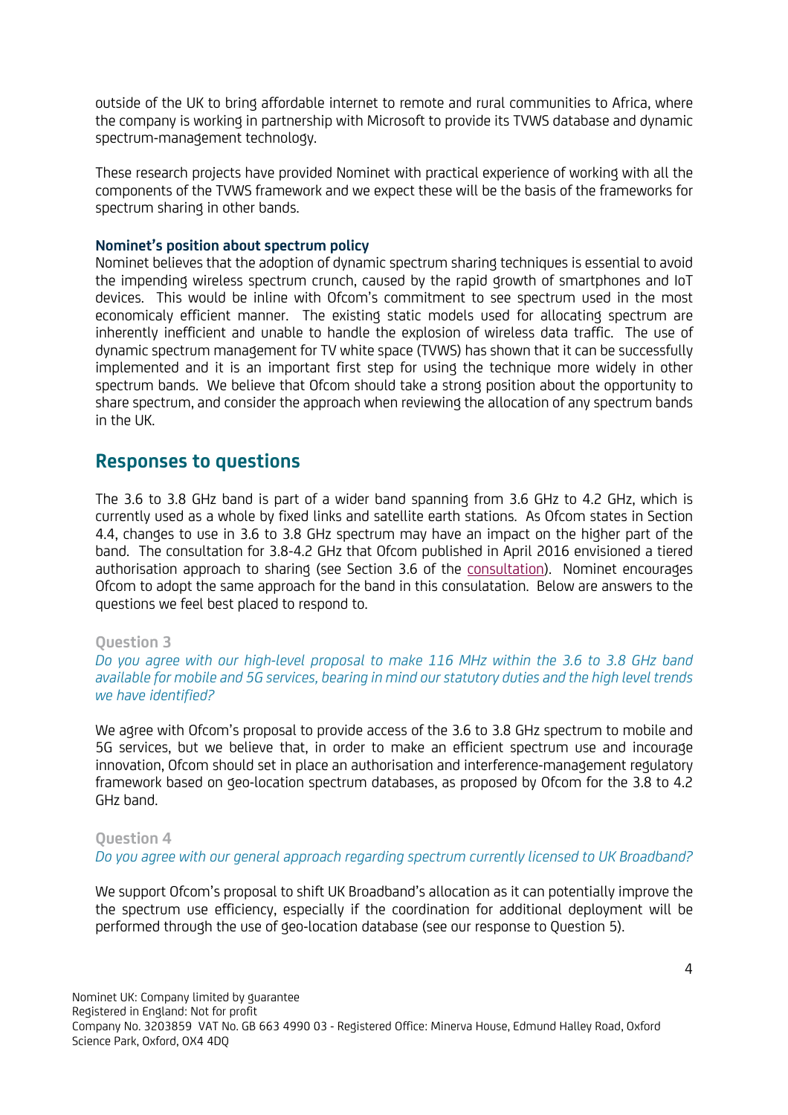outside of the UK to bring affordable internet to remote and rural communities to Africa, where the company is working in partnership with Microsoft to provide its TVWS database and dynamic spectrum-management technology.

These research projects have provided Nominet with practical experience of working with all the components of the TVWS framework and we expect these will be the basis of the frameworks for spectrum sharing in other bands.

## **Nominet's position about spectrum policy**

Nominet believes that the adoption of dynamic spectrum sharing techniques is essential to avoid the impending wireless spectrum crunch, caused by the rapid growth of smartphones and IoT devices. This would be inline with Ofcom's commitment to see spectrum used in the most economicaly efficient manner. The existing static models used for allocating spectrum are inherently inefficient and unable to handle the explosion of wireless data traffic. The use of dynamic spectrum management for TV white space (TVWS) has shown that it can be successfully implemented and it is an important first step for using the technique more widely in other spectrum bands. We believe that Ofcom should take a strong position about the opportunity to share spectrum, and consider the approach when reviewing the allocation of any spectrum bands in the UK.

## **Responses to questions**

The 3.6 to 3.8 GHz band is part of a wider band spanning from 3.6 GHz to 4.2 GHz, which is currently used as a whole by fixed links and satellite earth stations. As Ofcom states in Section 4.4, changes to use in 3.6 to 3.8 GHz spectrum may have an impact on the higher part of the band. The consultation for 3.8-4.2 GHz that Ofcom published in April 2016 envisioned a tiered authorisation approach to sharing (see Section 3.6 of the consultation). Nominet encourages Ofcom to adopt the same approach for the band in this consulatation. Below are answers to the questions we feel best placed to respond to.

## **Question 3**

*Do you agree with our high-level proposal to make 116 MHz within the 3.6 to 3.8 GHz band available for mobile and 5G services, bearing in mind our statutory duties and the high level trends we have identified?* 

We agree with Ofcom's proposal to provide access of the 3.6 to 3.8 GHz spectrum to mobile and 5G services, but we believe that, in order to make an efficient spectrum use and incourage innovation, Ofcom should set in place an authorisation and interference-management regulatory framework based on geo-location spectrum databases, as proposed by Ofcom for the 3.8 to 4.2 GHz band.

## **Question 4**

*Do you agree with our general approach regarding spectrum currently licensed to UK Broadband?* 

We support Ofcom's proposal to shift UK Broadband's allocation as it can potentially improve the the spectrum use efficiency, especially if the coordination for additional deployment will be performed through the use of geo-location database (see our response to Question 5).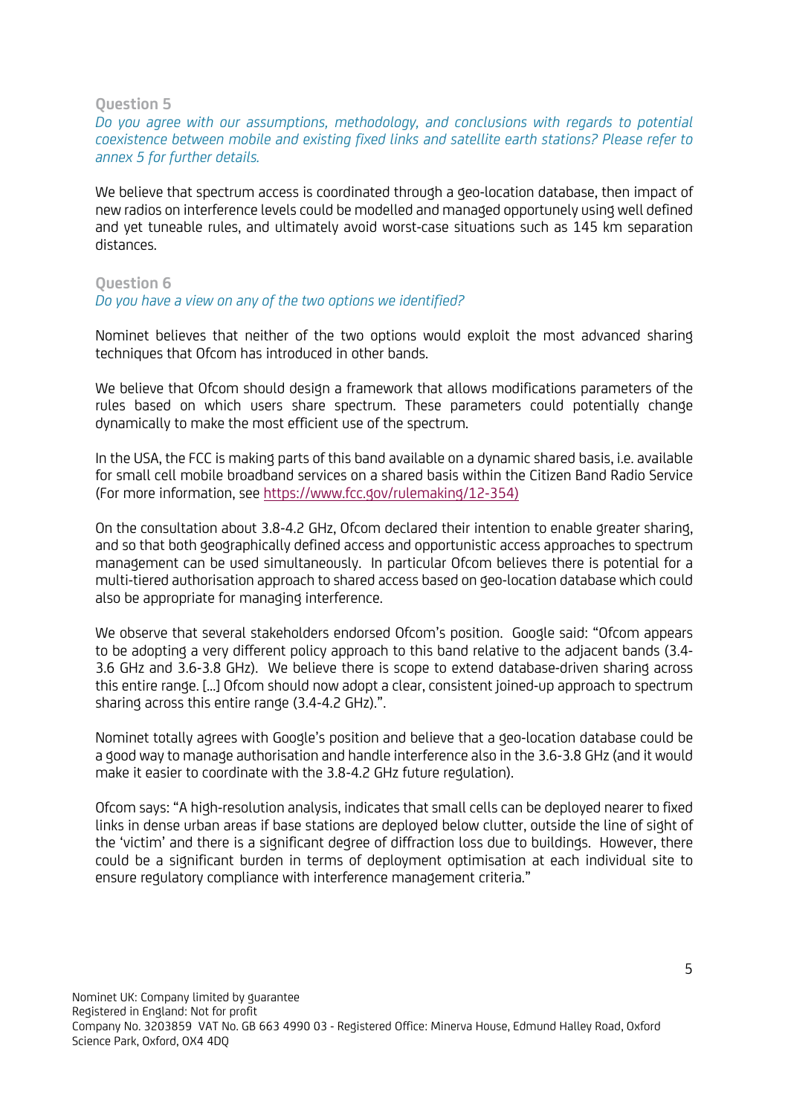### **Question 5**

*Do you agree with our assumptions, methodology, and conclusions with regards to potential coexistence between mobile and existing fixed links and satellite earth stations? Please refer to annex 5 for further details.*

We believe that spectrum access is coordinated through a geo-location database, then impact of new radios on interference levels could be modelled and managed opportunely using well defined and yet tuneable rules, and ultimately avoid worst-case situations such as 145 km separation distances.

## **Question 6** *Do you have a view on any of the two options we identified?*

Nominet believes that neither of the two options would exploit the most advanced sharing techniques that Ofcom has introduced in other bands.

We believe that Ofcom should design a framework that allows modifications parameters of the rules based on which users share spectrum. These parameters could potentially change dynamically to make the most efficient use of the spectrum.

In the USA, the FCC is making parts of this band available on a dynamic shared basis, i.e. available for small cell mobile broadband services on a shared basis within the Citizen Band Radio Service (For more information, see https://www.fcc.gov/rulemaking/12-354)

On the consultation about 3.8-4.2 GHz, Ofcom declared their intention to enable greater sharing, and so that both geographically defined access and opportunistic access approaches to spectrum management can be used simultaneously. In particular Ofcom believes there is potential for a multi-tiered authorisation approach to shared access based on geo-location database which could also be appropriate for managing interference.

We observe that several stakeholders endorsed Ofcom's position. Google said: "Ofcom appears to be adopting a very different policy approach to this band relative to the adjacent bands (3.4- 3.6 GHz and 3.6-3.8 GHz). We believe there is scope to extend database-driven sharing across this entire range. […] Ofcom should now adopt a clear, consistent joined-up approach to spectrum sharing across this entire range (3.4-4.2 GHz).".

Nominet totally agrees with Google's position and believe that a geo-location database could be a good way to manage authorisation and handle interference also in the 3.6-3.8 GHz (and it would make it easier to coordinate with the 3.8-4.2 GHz future regulation).

Ofcom says: "A high-resolution analysis, indicates that small cells can be deployed nearer to fixed links in dense urban areas if base stations are deployed below clutter, outside the line of sight of the 'victim' and there is a significant degree of diffraction loss due to buildings. However, there could be a significant burden in terms of deployment optimisation at each individual site to ensure regulatory compliance with interference management criteria."